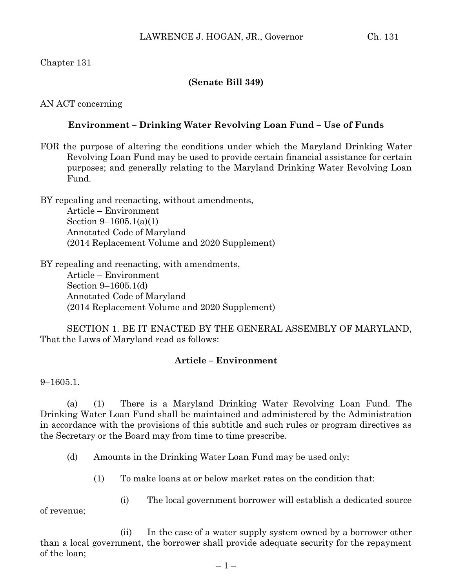Chapter 131

## **(Senate Bill 349)**

AN ACT concerning

# **Environment – Drinking Water Revolving Loan Fund – Use of Funds**

FOR the purpose of altering the conditions under which the Maryland Drinking Water Revolving Loan Fund may be used to provide certain financial assistance for certain purposes; and generally relating to the Maryland Drinking Water Revolving Loan Fund.

BY repealing and reenacting, without amendments, Article – Environment Section 9–1605.1(a)(1) Annotated Code of Maryland (2014 Replacement Volume and 2020 Supplement)

BY repealing and reenacting, with amendments, Article – Environment Section 9–1605.1(d) Annotated Code of Maryland (2014 Replacement Volume and 2020 Supplement)

SECTION 1. BE IT ENACTED BY THE GENERAL ASSEMBLY OF MARYLAND, That the Laws of Maryland read as follows:

# **Article – Environment**

9–1605.1.

(a) (1) There is a Maryland Drinking Water Revolving Loan Fund. The Drinking Water Loan Fund shall be maintained and administered by the Administration in accordance with the provisions of this subtitle and such rules or program directives as the Secretary or the Board may from time to time prescribe.

(d) Amounts in the Drinking Water Loan Fund may be used only:

- (1) To make loans at or below market rates on the condition that:
	- (i) The local government borrower will establish a dedicated source

of revenue;

(ii) In the case of a water supply system owned by a borrower other than a local government, the borrower shall provide adequate security for the repayment of the loan;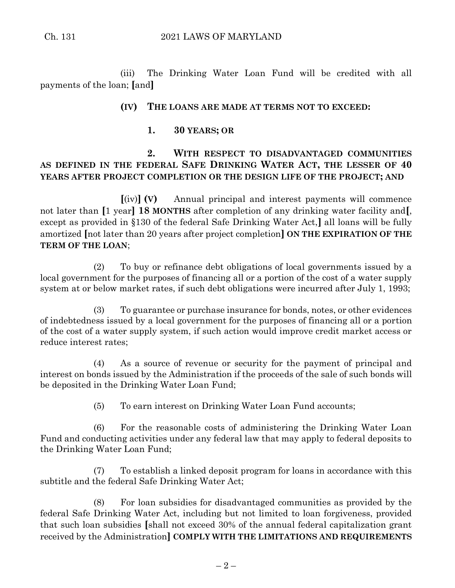(iii) The Drinking Water Loan Fund will be credited with all payments of the loan; **[**and**]**

#### **(IV) THE LOANS ARE MADE AT TERMS NOT TO EXCEED:**

**1. 30 YEARS; OR**

# **2. WITH RESPECT TO DISADVANTAGED COMMUNITIES AS DEFINED IN THE FEDERAL SAFE DRINKING WATER ACT, THE LESSER OF 40 YEARS AFTER PROJECT COMPLETION OR THE DESIGN LIFE OF THE PROJECT; AND**

**[**(iv)**] (V)** Annual principal and interest payments will commence not later than **[**1 year**] 18 MONTHS** after completion of any drinking water facility and**[**, except as provided in §130 of the federal Safe Drinking Water Act,**]** all loans will be fully amortized **[**not later than 20 years after project completion**] ON THE EXPIRATION OF THE TERM OF THE LOAN**;

(2) To buy or refinance debt obligations of local governments issued by a local government for the purposes of financing all or a portion of the cost of a water supply system at or below market rates, if such debt obligations were incurred after July 1, 1993;

(3) To guarantee or purchase insurance for bonds, notes, or other evidences of indebtedness issued by a local government for the purposes of financing all or a portion of the cost of a water supply system, if such action would improve credit market access or reduce interest rates;

(4) As a source of revenue or security for the payment of principal and interest on bonds issued by the Administration if the proceeds of the sale of such bonds will be deposited in the Drinking Water Loan Fund;

(5) To earn interest on Drinking Water Loan Fund accounts;

(6) For the reasonable costs of administering the Drinking Water Loan Fund and conducting activities under any federal law that may apply to federal deposits to the Drinking Water Loan Fund;

(7) To establish a linked deposit program for loans in accordance with this subtitle and the federal Safe Drinking Water Act;

(8) For loan subsidies for disadvantaged communities as provided by the federal Safe Drinking Water Act, including but not limited to loan forgiveness, provided that such loan subsidies **[**shall not exceed 30% of the annual federal capitalization grant received by the Administration**] COMPLY WITH THE LIMITATIONS AND REQUIREMENTS**